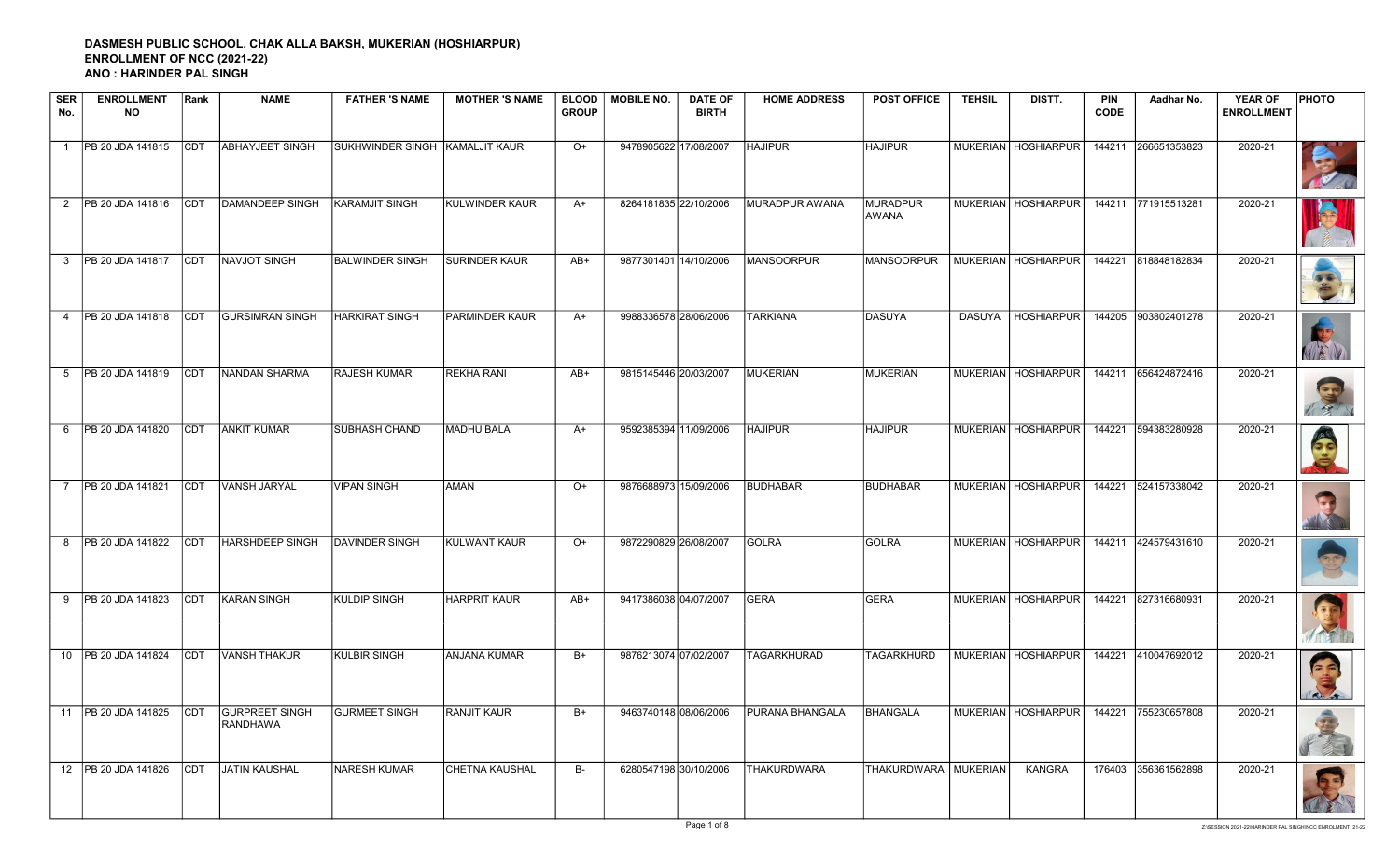## DASMESH PUBLIC SCHOOL, CHAK ALLA BAKSH, MUKERIAN (HOSHIARPUR) ENROLLMENT OF NCC (2021-22) ANO : HARINDER PAL SINGH

| <b>SER</b><br>No. | <b>ENROLLMENT</b><br><b>NO</b> | Rank       | <b>NAME</b>                              | <b>FATHER 'S NAME</b>          | <b>MOTHER 'S NAME</b> | <b>BLOOD</b><br><b>GROUP</b> | <b>MOBILE NO.</b>     | <b>DATE OF</b><br><b>BIRTH</b> | <b>HOME ADDRESS</b> | <b>POST OFFICE</b>     | <b>TEHSIL</b> | DISTT.                | <b>PIN</b><br><b>CODE</b> | Aadhar No.          | <b>YEAR OF</b><br><b>ENROLLMENT</b> | <b>PHOTO</b> |
|-------------------|--------------------------------|------------|------------------------------------------|--------------------------------|-----------------------|------------------------------|-----------------------|--------------------------------|---------------------|------------------------|---------------|-----------------------|---------------------------|---------------------|-------------------------------------|--------------|
| $\overline{1}$    | PB 20 JDA 141815               |            | <b>CDT ABHAYJEET SINGH</b>               | SUKHWINDER SINGH KAMALJIT KAUR |                       | $O+$                         | 9478905622 17/08/2007 |                                | <b>HAJIPUR</b>      | <b>HAJIPUR</b>         |               | MUKERIAN   HOSHIARPUR |                           | 144211 266651353823 | 2020-21                             |              |
|                   | 2   PB 20 JDA 141816           |            | CDT  DAMANDEEP SINGH                     | KARAMJIT SINGH                 | KULWINDER KAUR        | $A+$                         | 8264181835 22/10/2006 |                                | MURADPUR AWANA      | MURADPUR<br>AWANA      |               | MUKERIAN   HOSHIARPUR |                           | 144211 771915513281 | 2020-21                             |              |
|                   | 3   PB 20 JDA 141817           | <b>CDT</b> | NAVJOT SINGH                             | <b>BALWINDER SINGH</b>         | <b>SURINDER KAUR</b>  | AB+                          | 9877301401 14/10/2006 |                                | <b>MANSOORPUR</b>   | MANSOORPUR             |               | MUKERIAN   HOSHIARPUR | 144221                    | 818848182834        | 2020-21                             |              |
| $\overline{4}$    | PB 20 JDA 141818               | <b>CDT</b> | <b>GURSIMRAN SINGH</b>                   | <b>HARKIRAT SINGH</b>          | PARMINDER KAUR        | $A+$                         | 9988336578 28/06/2006 |                                | <b>TARKIANA</b>     | DASUYA                 |               | DASUYA   HOSHIARPUR   | 144205                    | 903802401278        | 2020-21                             |              |
|                   | 5 PB 20 JDA 141819             | <b>CDT</b> | NANDAN SHARMA                            | RAJESH KUMAR                   | <b>REKHA RANI</b>     | $AB+$                        | 9815145446 20/03/2007 |                                | MUKERIAN            | MUKERIAN               |               | MUKERIAN   HOSHIARPUR |                           | 144211 656424872416 | 2020-21                             | $\sigma_c$   |
| 6                 | <b>PB 20 JDA 141820</b>        | CDT        | <b>ANKIT KUMAR</b>                       | <b>SUBHASH CHAND</b>           | <b>MADHU BALA</b>     | $A+$                         | 9592385394 11/09/2006 |                                | <b>HAJIPUR</b>      | <b>HAJIPUR</b>         |               | MUKERIAN HOSHIARPUR   |                           | 144221 594383280928 | 2020-21                             | O.C.         |
| $\overline{7}$    | <b>PB 20 JDA 141821</b>        | <b>CDT</b> | VANSH JARYAL                             | <b>VIPAN SINGH</b>             | <b>AMAN</b>           | $O+$                         | 9876688973 15/09/2006 |                                | BUDHABAR            | BUDHABAR               |               | MUKERIAN   HOSHIARPUR |                           | 144221 524157338042 | 2020-21                             |              |
|                   | 8   PB 20 JDA 141822           | <b>CDT</b> | <b>HARSHDEEP SINGH</b>                   | <b>DAVINDER SINGH</b>          | KULWANT KAUR          | $O+$                         | 9872290829 26/08/2007 |                                | GOLRA               | GOLRA                  |               | MUKERIAN   HOSHIARPUR |                           | 144211 424579431610 | 2020-21                             |              |
| 9                 | <b>PB 20 JDA 141823</b>        | ICDT       | <b>KARAN SINGH</b>                       | <b>KULDIP SINGH</b>            | <b>HARPRIT KAUR</b>   | $AB+$                        | 9417386038 04/07/2007 |                                | <b>GERA</b>         | <b>GERA</b>            |               | MUKERIAN   HOSHIARPUR |                           | 144221 827316680931 | 2020-21                             |              |
|                   | 10 PB 20 JDA 141824            | <b>CDT</b> | <b>VANSH THAKUR</b>                      | <b>KULBIR SINGH</b>            | <b>ANJANA KUMARI</b>  | $B+$                         | 9876213074 07/02/2007 |                                | <b>TAGARKHURAD</b>  | <b>TAGARKHURD</b>      |               | MUKERIAN   HOSHIARPUR |                           | 144221 410047692012 | 2020-21                             |              |
|                   | 11   PB 20 JDA 141825          | ICDT       | <b>GURPREET SINGH</b><br><b>RANDHAWA</b> | <b>GURMEET SINGH</b>           | <b>RANJIT KAUR</b>    | $B+$                         | 9463740148 08/06/2006 |                                | PURANA BHANGALA     | <b>BHANGALA</b>        |               | MUKERIAN   HOSHIARPUR |                           | 144221 755230657808 | 2020-21                             |              |
|                   | 12 PB 20 JDA 141826            | CDT        | <b>JATIN KAUSHAL</b>                     | NARESH KUMAR                   | <b>CHETNA KAUSHAL</b> | <b>B-</b>                    | 6280547198 30/10/2006 |                                | <b>THAKURDWARA</b>  | THAKURDWARA   MUKERIAN |               | KANGRA                |                           | 176403 356361562898 | 2020-21                             |              |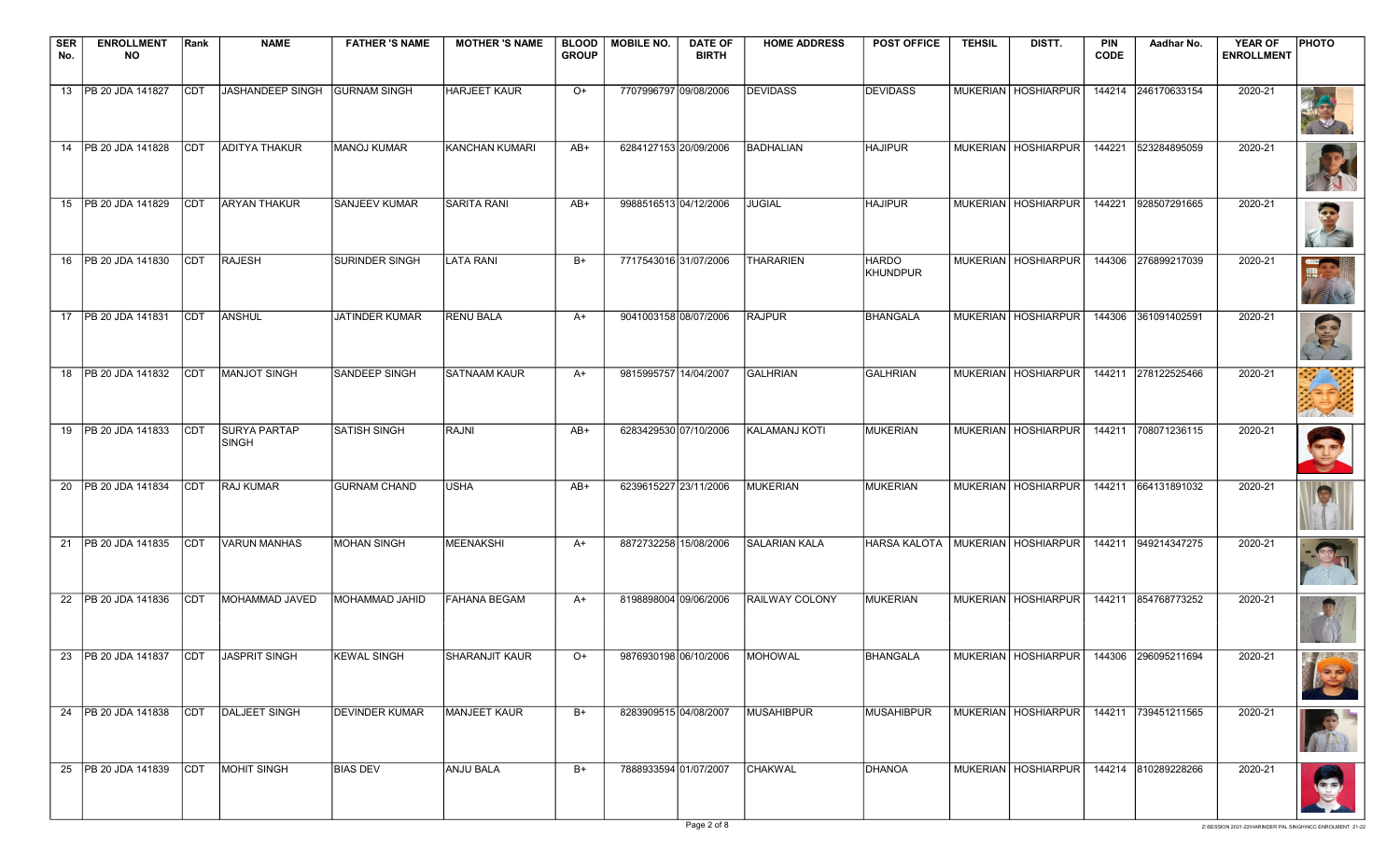| <b>SER</b> | <b>ENROLLMENT</b>                     | Rank       | <b>NAME</b>                         | <b>FATHER 'S NAME</b> | <b>MOTHER 'S NAME</b> |              | BLOOD   MOBILE NO.    | <b>DATE OF</b>        | <b>HOME ADDRESS</b>   | <b>POST OFFICE</b>                   | <b>TEHSIL</b> | DISTT.                                      | <b>PIN</b>  | Aadhar No.          | <b>YEAR OF</b>    | PHOTO                             |
|------------|---------------------------------------|------------|-------------------------------------|-----------------------|-----------------------|--------------|-----------------------|-----------------------|-----------------------|--------------------------------------|---------------|---------------------------------------------|-------------|---------------------|-------------------|-----------------------------------|
| No.        | <b>NO</b>                             |            |                                     |                       |                       | <b>GROUP</b> |                       | <b>BIRTH</b>          |                       |                                      |               |                                             | <b>CODE</b> |                     | <b>ENROLLMENT</b> |                                   |
|            | 13   PB 20 JDA 141827                 | <b>CDT</b> | JASHANDEEP SINGH                    | <b>GURNAM SINGH</b>   | <b>HARJEET KAUR</b>   | $O+$         | 7707996797 09/08/2006 |                       | <b>DEVIDASS</b>       | <b>DEVIDASS</b>                      |               | MUKERIAN   HOSHIARPUR                       |             | 144214 246170633154 | 2020-21           |                                   |
|            |                                       |            |                                     |                       |                       |              |                       |                       |                       |                                      |               |                                             |             |                     |                   |                                   |
|            | 14   PB 20 JDA 141828                 | <b>CDT</b> | <b>ADITYA THAKUR</b>                | MANOJ KUMAR           | KANCHAN KUMARI        | AB+          | 6284127153 20/09/2006 |                       | <b>BADHALIAN</b>      | <b>HAJIPUR</b>                       |               | MUKERIAN   HOSHIARPUR                       | 144221      | 523284895059        | 2020-21           | R                                 |
|            | 15   PB 20 JDA 141829                 | ICDT       | <b>ARYAN THAKUR</b>                 | <b>SANJEEV KUMAR</b>  | <b>SARITA RANI</b>    | AB+          | 9988516513 04/12/2006 |                       | <b>JUGIAL</b>         | <b>HAJIPUR</b>                       |               | MUKERIAN   HOSHIARPUR                       |             | 144221 928507291665 | 2020-21           | $\bullet$                         |
|            | 16 PB 20 JDA 141830                   | <b>CDT</b> | <b>RAJESH</b>                       | <b>SURINDER SINGH</b> | <b>LATA RANI</b>      | $B+$         | 7717543016 31/07/2006 |                       | <b>THARARIEN</b>      | <b>HARDO</b><br><b>KHUNDPUR</b>      |               | MUKERIAN   HOSHIARPUR                       | 144306      | 276899217039        | 2020-21           |                                   |
|            | 17   PB 20 JDA 141831                 | <b>CDT</b> | ANSHUL                              | JATINDER KUMAR        | <b>RENU BALA</b>      | A+           | 9041003158 08/07/2006 |                       | <b>RAJPUR</b>         | <b>BHANGALA</b>                      |               | MUKERIAN   HOSHIARPUR                       |             | 144306 361091402591 | 2020-21           | Cip                               |
|            | 18   PB 20 JDA 141832                 | <b>CDT</b> | <b>MANJOT SINGH</b>                 | <b>SANDEEP SINGH</b>  | <b>SATNAAM KAUR</b>   | $A+$         | 9815995757 14/04/2007 |                       | <b>GALHRIAN</b>       | <b>GALHRIAN</b>                      |               | MUKERIAN   HOSHIARPUR                       |             | 144211 278122525466 | 2020-21           |                                   |
|            | 19   PB 20 JDA 141833                 | <b>CDT</b> | <b>SURYA PARTAP</b><br><b>SINGH</b> | <b>SATISH SINGH</b>   | RAJNI                 | $AB+$        | 6283429530 07/10/2006 |                       | KALAMANJ KOTI         | <b>MUKERIAN</b>                      |               | MUKERIAN   HOSHIARPUR                       |             | 144211 708071236115 | 2020-21           |                                   |
|            | 20   PB 20 JDA 141834                 | <b>CDT</b> | <b>RAJ KUMAR</b>                    | <b>GURNAM CHAND</b>   | <b>USHA</b>           | $AB+$        | 6239615227 23/11/2006 |                       | <b>MUKERIAN</b>       | <b>MUKERIAN</b>                      |               | MUKERIAN   HOSHIARPUR                       |             | 144211 664131891032 | 2020-21           |                                   |
|            | 21   PB 20 JDA 141835                 | <b>CDT</b> | <b>VARUN MANHAS</b>                 | MOHAN SINGH           | MEENAKSHI             | $A+$         | 8872732258 15/08/2006 |                       | <b>SALARIAN KALA</b>  | HARSA KALOTA   MUKERIAN   HOSHIARPUR |               |                                             |             | 144211 949214347275 | 2020-21           |                                   |
|            | 22   PB 20 JDA 141836                 | <b>CDT</b> | MOHAMMAD JAVED                      | MOHAMMAD JAHID        | <b>FAHANA BEGAM</b>   | A+           | 8198898004 09/06/2006 |                       | <b>RAILWAY COLONY</b> | MUKERIAN                             |               | MUKERIAN   HOSHIARPUR                       |             | 144211 854768773252 | 2020-21           |                                   |
|            | 23 PB 20 JDA 141837 CDT JASPRIT SINGH |            |                                     | <b>KEWAL SINGH</b>    | SHARANJIT KAUR        | $O+$         |                       | 9876930198 06/10/2006 | MOHOWAL               | BHANGALA                             |               | MUKERIAN   HOSHIARPUR   144306 296095211694 |             |                     | 2020-21           | $\mathcal{F}$ , and $\mathcal{F}$ |
|            | 24   PB 20 JDA 141838                 | CDT        | DALJEET SINGH                       | <b>DEVINDER KUMAR</b> | MANJEET KAUR          | B+           | 8283909515 04/08/2007 |                       | <b>MUSAHIBPUR</b>     | MUSAHIBPUR                           |               | MUKERIAN HOSHIARPUR 144211 739451211565     |             |                     | 2020-21           |                                   |
|            | 25 PB 20 JDA 141839                   | <b>CDT</b> | MOHIT SINGH                         | <b>BIAS DEV</b>       | <b>ANJU BALA</b>      | B+           | 7888933594 01/07/2007 |                       | <b>CHAKWAL</b>        | DHANOA                               |               | MUKERIAN HOSHIARPUR                         |             | 144214 810289228266 | 2020-21           |                                   |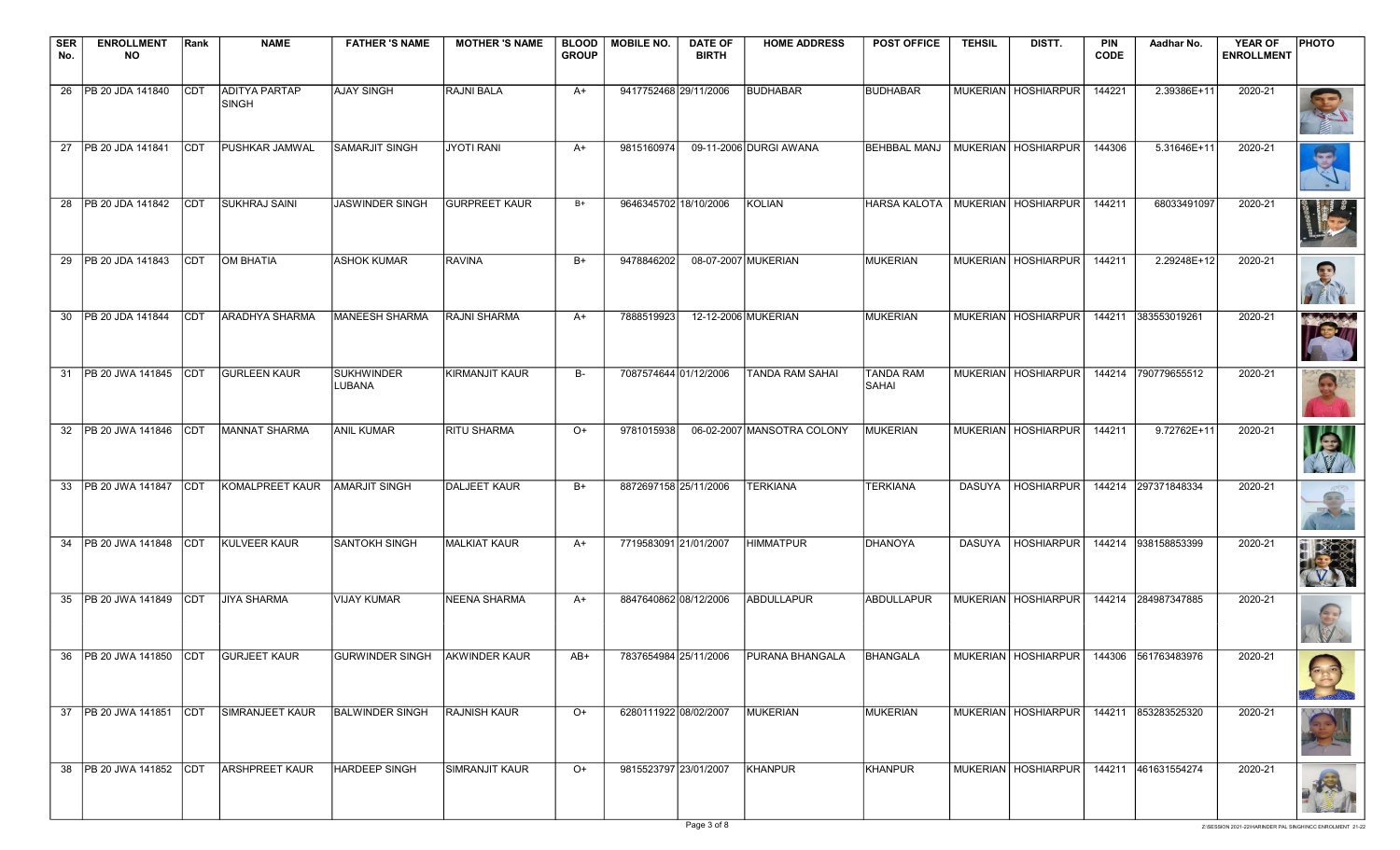| <b>SER</b><br>No. | <b>ENROLLMENT</b><br><b>NO</b>       | Rank        | <b>NAME</b>                   | <b>FATHER 'S NAME</b>          | <b>MOTHER 'S NAME</b> | <b>BLOOD</b><br><b>GROUP</b> | <b>MOBILE NO.</b>     | <b>DATE OF</b><br><b>BIRTH</b> | <b>HOME ADDRESS</b>                   | <b>POST OFFICE</b>                   | <b>TEHSIL</b> | DISTT.                                      | <b>PIN</b><br><b>CODE</b> | Aadhar No.          | <b>YEAR OF</b><br><b>ENROLLMENT</b> | <b>PHOTO</b>                      |
|-------------------|--------------------------------------|-------------|-------------------------------|--------------------------------|-----------------------|------------------------------|-----------------------|--------------------------------|---------------------------------------|--------------------------------------|---------------|---------------------------------------------|---------------------------|---------------------|-------------------------------------|-----------------------------------|
|                   | 26   PB 20 JDA 141840                | <b>CDT</b>  | <b>ADITYA PARTAP</b><br>SINGH | <b>AJAY SINGH</b>              | RAJNI BALA            | A+                           | 9417752468 29/11/2006 |                                | <b>BUDHABAR</b>                       | <b>BUDHABAR</b>                      |               | MUKERIAN HOSHIARPUR                         | 144221                    | 2.39386E+11         | 2020-21                             |                                   |
|                   | 27   PB 20 JDA 141841                | <b>CDT</b>  | PUSHKAR JAMWAL                | SAMARJIT SINGH                 | JYOTI RANI            | $A+$                         | 9815160974            |                                | 09-11-2006 DURGI AWANA                | <b>BEHBBAL MANJ</b>                  |               | MUKERIAN   HOSHIARPUR                       | 144306                    | 5.31646E+11         | 2020-21                             | BV.                               |
|                   | 28 PB 20 JDA 141842                  | ICDT        | <b>SUKHRAJ SAINI</b>          | <b>JASWINDER SINGH</b>         | <b>GURPREET KAUR</b>  | $B+$                         | 9646345702 18/10/2006 |                                | <b>KOLIAN</b>                         | HARSA KALOTA   MUKERIAN   HOSHIARPUR |               |                                             | 144211                    | 68033491097         | 2020-21                             |                                   |
|                   | 29 PB 20 JDA 141843                  | <b>CDT</b>  | <b>OM BHATIA</b>              | <b>ASHOK KUMAR</b>             | <b>RAVINA</b>         | $B+$                         | 9478846202            |                                | 08-07-2007 MUKERIAN                   | <b>MUKERIAN</b>                      |               | MUKERIAN   HOSHIARPUR                       | 144211                    | 2.29248E+12         | 2020-21                             | 23                                |
|                   | 30 PB 20 JDA 141844                  | <b>CDT</b>  | <b>ARADHYA SHARMA</b>         | MANEESH SHARMA                 | <b>RAJNI SHARMA</b>   | $A+$                         | 7888519923            |                                | 12-12-2006 MUKERIAN                   | MUKERIAN                             |               | MUKERIAN HOSHIARPUR                         |                           | 144211 383553019261 | 2020-21                             | <b>Burney Land</b><br><b>ICay</b> |
|                   | 31   PB 20 JWA 141845                | <b>CDT</b>  | <b>GURLEEN KAUR</b>           | SUKHWINDER<br>LUBANA           | <b>KIRMANJIT KAUR</b> | B-                           | 7087574644 01/12/2006 |                                | <b>TANDA RAM SAHAI</b>                | <b>TANDA RAM</b><br>SAHAI            |               | MUKERIAN   HOSHIARPUR                       |                           | 144214 790779655512 | 2020-21                             | S                                 |
|                   | 32   PB 20 JWA 141846                | <b>CDT</b>  | MANNAT SHARMA                 | <b>ANIL KUMAR</b>              | <b>RITU SHARMA</b>    | $O+$                         | 9781015938            |                                | 06-02-2007 MANSOTRA COLONY            | MUKERIAN                             |               | MUKERIAN   HOSHIARPUR                       | 144211                    | 9.72762E+11         | 2020-21                             |                                   |
|                   | 33 PB 20 JWA 141847                  | <b>CDT</b>  | KOMALPREET KAUR               | <b>AMARJIT SINGH</b>           | DALJEET KAUR          | $B+$                         | 8872697158 25/11/2006 |                                | <b>TERKIANA</b>                       | <b>TERKIANA</b>                      |               | DASUYA   HOSHIARPUR                         |                           | 144214 297371848334 | 2020-21                             |                                   |
|                   | 34   PB 20 JWA 141848                | <b>CDT</b>  | <b>KULVEER KAUR</b>           | SANTOKH SINGH                  | <b>MALKIAT KAUR</b>   | $A+$                         | 7719583091 21/01/2007 |                                | <b>HIMMATPUR</b>                      | DHANOYA                              |               | DASUYA   HOSHIARPUR                         |                           | 144214 938158853399 | 2020-21                             |                                   |
|                   | 35 PB 20 JWA 141849                  | <b>CDT</b>  | <b>JIYA SHARMA</b>            | VIJAY KUMAR                    | NEENA SHARMA          | A+                           | 8847640862 08/12/2006 |                                | <b>ABDULLAPUR</b>                     | ABDULLAPUR                           |               | MUKERIAN HOSHIARPUR                         |                           | 144214 284987347885 | 2020-21                             |                                   |
|                   | 36 PB 20 JWA 141850 CDT GURJEET KAUR |             |                               | GURWINDER SINGH LAKWINDER KAUR |                       | AB+                          |                       |                                | 7837654984 25/11/2006 PURANA BHANGALA | <b>BHANGALA</b>                      |               | MUKERIAN   HOSHIARPUR   144306 561763483976 |                           |                     | 2020-21                             |                                   |
|                   | 37 PB 20 JWA 141851                  | <b>ICDT</b> | SIMRANJEET KAUR               | <b>BALWINDER SINGH</b>         | <b>RAJNISH KAUR</b>   | $O+$                         | 6280111922 08/02/2007 |                                | <b>MUKERIAN</b>                       | MUKERIAN                             |               | MUKERIAN   HOSHIARPUR                       |                           | 144211 853283525320 | 2020-21                             |                                   |
|                   | 38   PB 20 JWA 141852   CDT          |             | <b>ARSHPREET KAUR</b>         | <b>HARDEEP SINGH</b>           | SIMRANJIT KAUR        | $O+$                         | 9815523797 23/01/2007 |                                | <b>KHANPUR</b>                        | <b>KHANPUR</b>                       |               | <b>MUKERIAN HOSHIARPUR</b>                  |                           | 144211 461631554274 | 2020-21                             | 以                                 |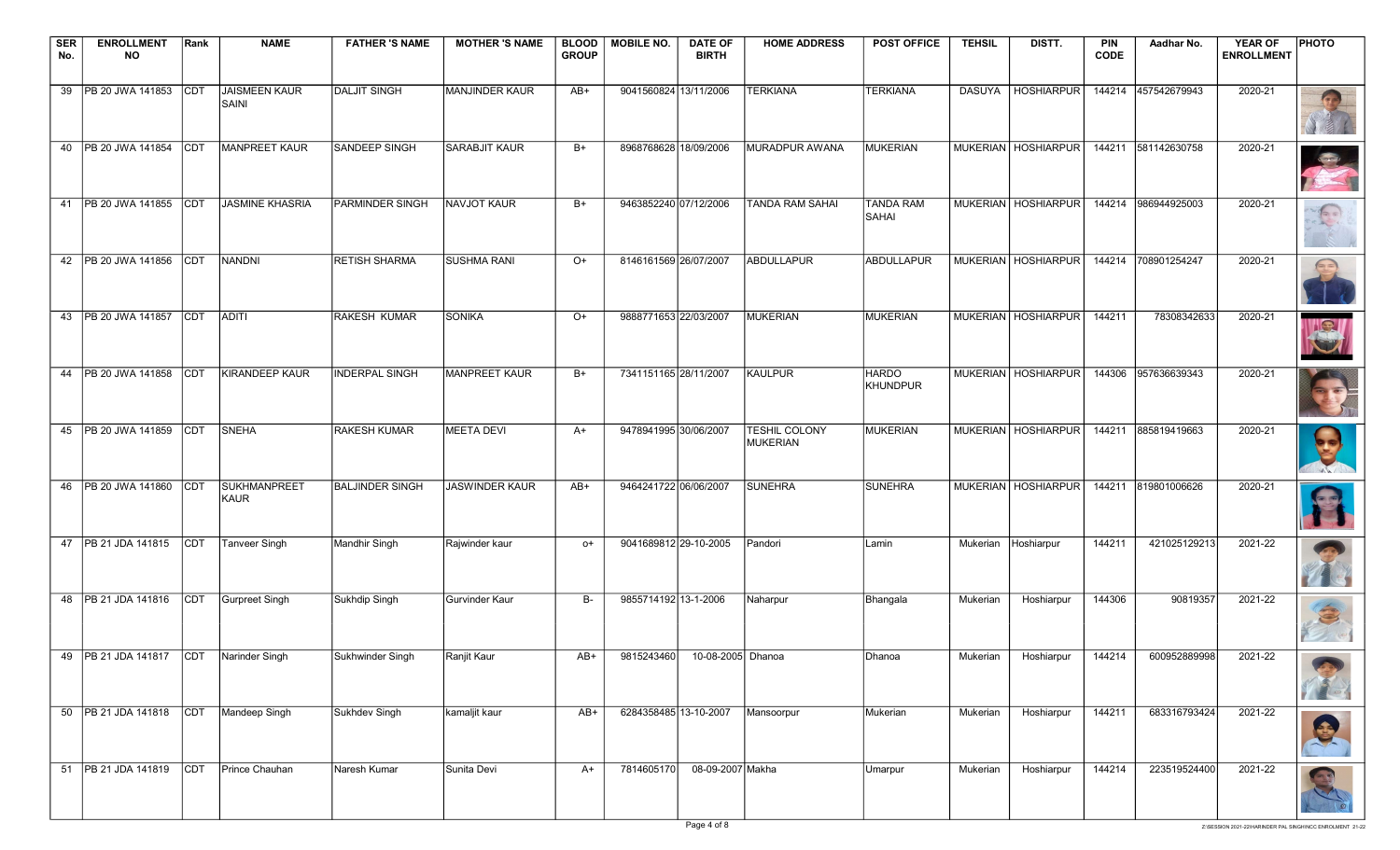| <b>SER</b> | <b>ENROLLMENT</b>                      | Rank        | <b>NAME</b>                 | <b>FATHER 'S NAME</b>  | <b>MOTHER 'S NAME</b> |              | BLOOD   MOBILE NO.    | <b>DATE OF</b>               | <b>HOME ADDRESS</b>              | <b>POST OFFICE</b>              | <b>TEHSIL</b> | DISTT.                | <b>PIN</b>  | Aadhar No.          | <b>YEAR OF</b>    | <b>PHOTO</b>      |
|------------|----------------------------------------|-------------|-----------------------------|------------------------|-----------------------|--------------|-----------------------|------------------------------|----------------------------------|---------------------------------|---------------|-----------------------|-------------|---------------------|-------------------|-------------------|
| No.        | <b>NO</b>                              |             |                             |                        |                       | <b>GROUP</b> |                       | <b>BIRTH</b>                 |                                  |                                 |               |                       | <b>CODE</b> |                     | <b>ENROLLMENT</b> |                   |
| 39         | PB 20 JWA 141853                       | <b>CDT</b>  | JAISMEEN KAUR<br>SAINI      | <b>DALJIT SINGH</b>    | MANJINDER KAUR        | AB+          | 9041560824 13/11/2006 |                              | <b>TERKIANA</b>                  | <b>TERKIANA</b>                 |               | DASUYA   HOSHIARPUR   |             | 144214 457542679943 | 2020-21           |                   |
|            | 40   PB 20 JWA 141854                  | <b>CDT</b>  | MANPREET KAUR               | <b>SANDEEP SINGH</b>   | <b>SARABJIT KAUR</b>  | $B+$         | 8968768628 18/09/2006 |                              | MURADPUR AWANA                   | MUKERIAN                        |               | MUKERIAN   HOSHIARPUR |             | 144211 581142630758 | 2020-21           |                   |
| 41         | PB 20 JWA 141855                       | <b>CDT</b>  | <b>JASMINE KHASRIA</b>      | <b>PARMINDER SINGH</b> | NAVJOT KAUR           | $B+$         | 9463852240 07/12/2006 |                              | <b>TANDA RAM SAHAI</b>           | <b>TANDA RAM</b><br>SAHAI       |               | MUKERIAN HOSHIARPUR   |             | 144214 986944925003 | 2020-21           | $\sqrt{2}$        |
|            | 42   PB 20 JWA 141856                  | <b>CDT</b>  | NANDNI                      | <b>RETISH SHARMA</b>   | <b>SUSHMA RANI</b>    | $O+$         | 8146161569 26/07/2007 |                              | ABDULLAPUR                       | <b>ABDULLAPUR</b>               |               | MUKERIAN   HOSHIARPUR | 144214      | 708901254247        | 2020-21           | $\left( =\right)$ |
|            | 43 PB 20 JWA 141857                    | <b>CDT</b>  | ADITI                       | RAKESH KUMAR           | <b>SONIKA</b>         | $O+$         | 9888771653 22/03/2007 |                              | MUKERIAN                         | MUKERIAN                        |               | MUKERIAN   HOSHIARPUR | 144211      | 78308342633         | 2020-21           | S                 |
| 44         | <b>PB 20 JWA 141858</b>                | <b>CDT</b>  | <b>KIRANDEEP KAUR</b>       | <b>INDERPAL SINGH</b>  | <b>MANPREET KAUR</b>  | $B+$         | 7341151165 28/11/2007 |                              | <b>KAULPUR</b>                   | <b>HARDO</b><br><b>KHUNDPUR</b> |               | MUKERIAN   HOSHIARPUR |             | 144306 957636639343 | 2020-21           |                   |
| 45         | <b>PB 20 JWA 141859</b>                | <b>CDT</b>  | <b>SNEHA</b>                | <b>RAKESH KUMAR</b>    | <b>MEETA DEVI</b>     | $A+$         | 9478941995 30/06/2007 |                              | <b>TESHIL COLONY</b><br>MUKERIAN | MUKERIAN                        |               | MUKERIAN HOSHIARPUR   |             | 144211 885819419663 | 2020-21           |                   |
| 46         | PB 20 JWA 141860                       | <b>CDT</b>  | SUKHMANPREET<br><b>KAUR</b> | <b>BALJINDER SINGH</b> | <b>JASWINDER KAUR</b> | AB+          | 9464241722 06/06/2007 |                              | <b>SUNEHRA</b>                   | <b>SUNEHRA</b>                  |               | MUKERIAN   HOSHIARPUR |             | 144211 819801006626 | 2020-21           |                   |
|            | 47   PB 21 JDA 141815                  | <b>CDT</b>  | Tanveer Singh               | Mandhir Singh          | Rajwinder kaur        | o+           | 9041689812 29-10-2005 |                              | Pandori                          | Lamin                           |               | Mukerian Hoshiarpur   | 144211      | 421025129213        | 2021-22           |                   |
|            | 48 PB 21 JDA 141816                    | <b>CDT</b>  | Gurpreet Singh              | Sukhdip Singh          | <b>Gurvinder Kaur</b> | B-           | 9855714192 13-1-2006  |                              | Naharpur                         | Bhangala                        | Mukerian      | Hoshiarpur            | 144306      | 90819357            | 2021-22           | 3                 |
|            | 49 PB 21 JDA 141817 CDT Narinder Singh |             |                             | Sukhwinder Singh       | Ranjit Kaur           | AB+          |                       | 9815243460 10-08-2005 Dhanoa |                                  | Dhanoa                          | Mukerian      | Hoshiarpur            | 144214      | 600952889998        | 2021-22           |                   |
|            | 50   PB 21 JDA 141818                  | CDT         | Mandeep Singh               | Sukhdev Singh          | kamaljit kaur         | $AB+$        | 6284358485 13-10-2007 |                              | Mansoorpur                       | Mukerian                        | Mukerian      | Hoshiarpur            | 144211      | 683316793424        | 2021-22           |                   |
|            | 51   PB 21 JDA 141819                  | <b>ICDT</b> | Prince Chauhan              | Naresh Kumar           | Sunita Devi           | A+           | 7814605170            | 08-09-2007 Makha             |                                  | Umarpur                         | Mukerian      | Hoshiarpur            | 144214      | 223519524400        | 2021-22           |                   |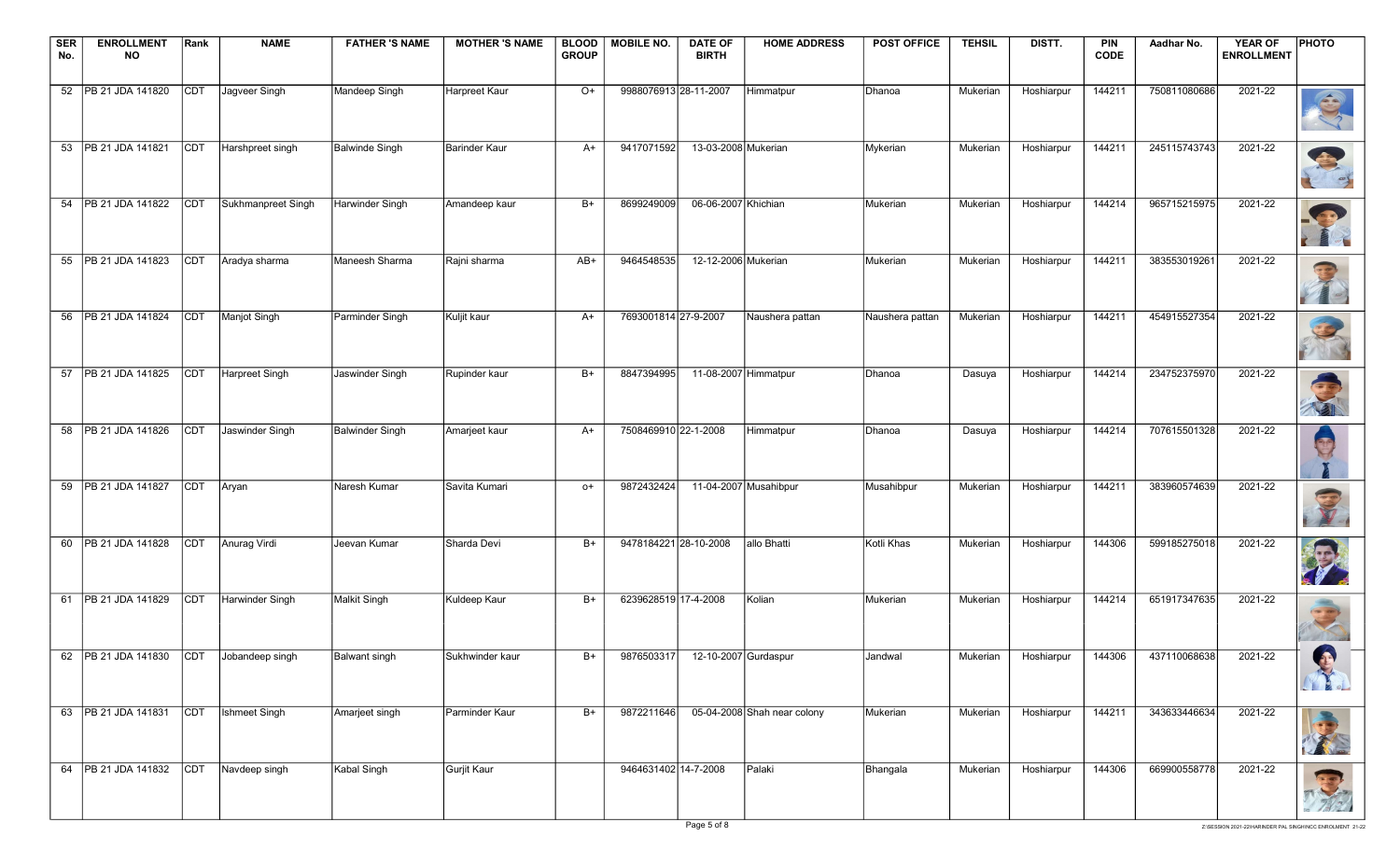| <b>SER</b><br>No. | <b>ENROLLMENT</b><br><b>NO</b>          | Rank       | <b>NAME</b>         | <b>FATHER 'S NAME</b>  | <b>MOTHER 'S NAME</b> | <b>BLOOD</b><br><b>GROUP</b> | <b>MOBILE NO.</b>     | <b>DATE OF</b><br><b>BIRTH</b> | <b>HOME ADDRESS</b>         | <b>POST OFFICE</b> | <b>TEHSIL</b> | DISTT.     | <b>PIN</b><br><b>CODE</b> | Aadhar No.   | <b>YEAR OF</b><br><b>ENROLLMENT</b> | <b>PHOTO</b>           |
|-------------------|-----------------------------------------|------------|---------------------|------------------------|-----------------------|------------------------------|-----------------------|--------------------------------|-----------------------------|--------------------|---------------|------------|---------------------------|--------------|-------------------------------------|------------------------|
|                   | 52   PB 21 JDA 141820                   | <b>CDT</b> | Jagveer Singh       | Mandeep Singh          | <b>Harpreet Kaur</b>  | O+                           | 9988076913 28-11-2007 |                                | Himmatpur                   | Dhanoa             | Mukerian      | Hoshiarpur | 144211                    | 750811080686 | 2021-22                             | S                      |
|                   | 53   PB 21 JDA 141821                   | <b>CDT</b> | Harshpreet singh    | Balwinde Singh         | Barinder Kaur         | A+                           | 9417071592            | 13-03-2008 Mukerian            |                             | Mykerian           | Mukerian      | Hoshiarpur | 144211                    | 245115743743 | 2021-22                             | B                      |
|                   | 54   PB 21 JDA 141822                   | <b>CDT</b> | Sukhmanpreet Singh  | Harwinder Singh        | Amandeep kaur         | $B+$                         | 8699249009            | 06-06-2007 Khichian            |                             | Mukerian           | Mukerian      | Hoshiarpur | 144214                    | 965715215975 | 2021-22                             |                        |
|                   | 55   PB 21 JDA 141823                   | <b>CDT</b> | Aradya sharma       | Maneesh Sharma         | Rajni sharma          | AB+                          | 9464548535            | 12-12-2006 Mukerian            |                             | Mukerian           | Mukerian      | Hoshiarpur | 144211                    | 383553019261 | 2021-22                             |                        |
|                   | 56   PB 21 JDA 141824                   | <b>CDT</b> | <b>Manjot Singh</b> | Parminder Singh        | Kuljit kaur           | A+                           | 7693001814 27-9-2007  |                                | Naushera pattan             | Naushera pattan    | Mukerian      | Hoshiarpur | 144211                    | 454915527354 | 2021-22                             |                        |
|                   | 57   PB 21 JDA 141825                   | <b>CDT</b> | Harpreet Singh      | Jaswinder Singh        | Rupinder kaur         | $B+$                         | 8847394995            | 11-08-2007 Himmatpur           |                             | Dhanoa             | Dasuya        | Hoshiarpur | 144214                    | 234752375970 | 2021-22                             |                        |
|                   | 58   PB 21 JDA 141826                   | <b>CDT</b> | Jaswinder Singh     | <b>Balwinder Singh</b> | Amarjeet kaur         | $A+$                         | 7508469910 22-1-2008  |                                | Himmatpur                   | Dhanoa             | Dasuya        | Hoshiarpur | 144214                    | 707615501328 | 2021-22                             | U                      |
|                   | 59   PB 21 JDA 141827                   | <b>CDT</b> | Aryan               | Naresh Kumar           | Savita Kumari         | o+                           | 9872432424            |                                | 11-04-2007 Musahibpur       | Musahibpur         | Mukerian      | Hoshiarpur | 144211                    | 383960574639 | 2021-22                             |                        |
|                   | 60   PB 21 JDA 141828                   | <b>CDT</b> | Anurag Virdi        | Jeevan Kumar           | Sharda Devi           | $B+$                         | 9478184221 28-10-2008 |                                | allo Bhatti                 | Kotli Khas         | Mukerian      | Hoshiarpur | 144306                    | 599185275018 | 2021-22                             | P.                     |
|                   | 61   PB 21 JDA 141829                   | <b>CDT</b> | Harwinder Singh     | Malkit Singh           | Kuldeep Kaur          | $B+$                         | 6239628519 17-4-2008  |                                | Kolian                      | Mukerian           | Mukerian      | Hoshiarpur | 144214                    | 651917347635 | 2021-22                             | $\left( -\right)$<br>K |
|                   | 62 PB 21 JDA 141830 CDT Jobandeep singh |            |                     | <b>Balwant</b> singh   | Sukhwinder kaur       | $B+$                         | 9876503317            | 12-10-2007 Gurdaspur           |                             | Jandwal            | Mukerian      | Hoshiarpur | 144306                    | 437110068638 | 2021-22                             |                        |
|                   | 63   PB 21 JDA 141831                   | CDT        | Ishmeet Singh       | Amarjeet singh         | Parminder Kaur        | B+                           | 9872211646            |                                | 05-04-2008 Shah near colony | Mukerian           | Mukerian      | Hoshiarpur | 144211                    | 343633446634 | 2021-22                             |                        |
|                   | 64 PB 21 JDA 141832                     | CDT        | Navdeep singh       | Kabal Singh            | Gurjit Kaur           |                              | 9464631402 14-7-2008  |                                | Palaki                      | Bhangala           | Mukerian      | Hoshiarpur | 144306                    | 669900558778 | 2021-22                             | こと                     |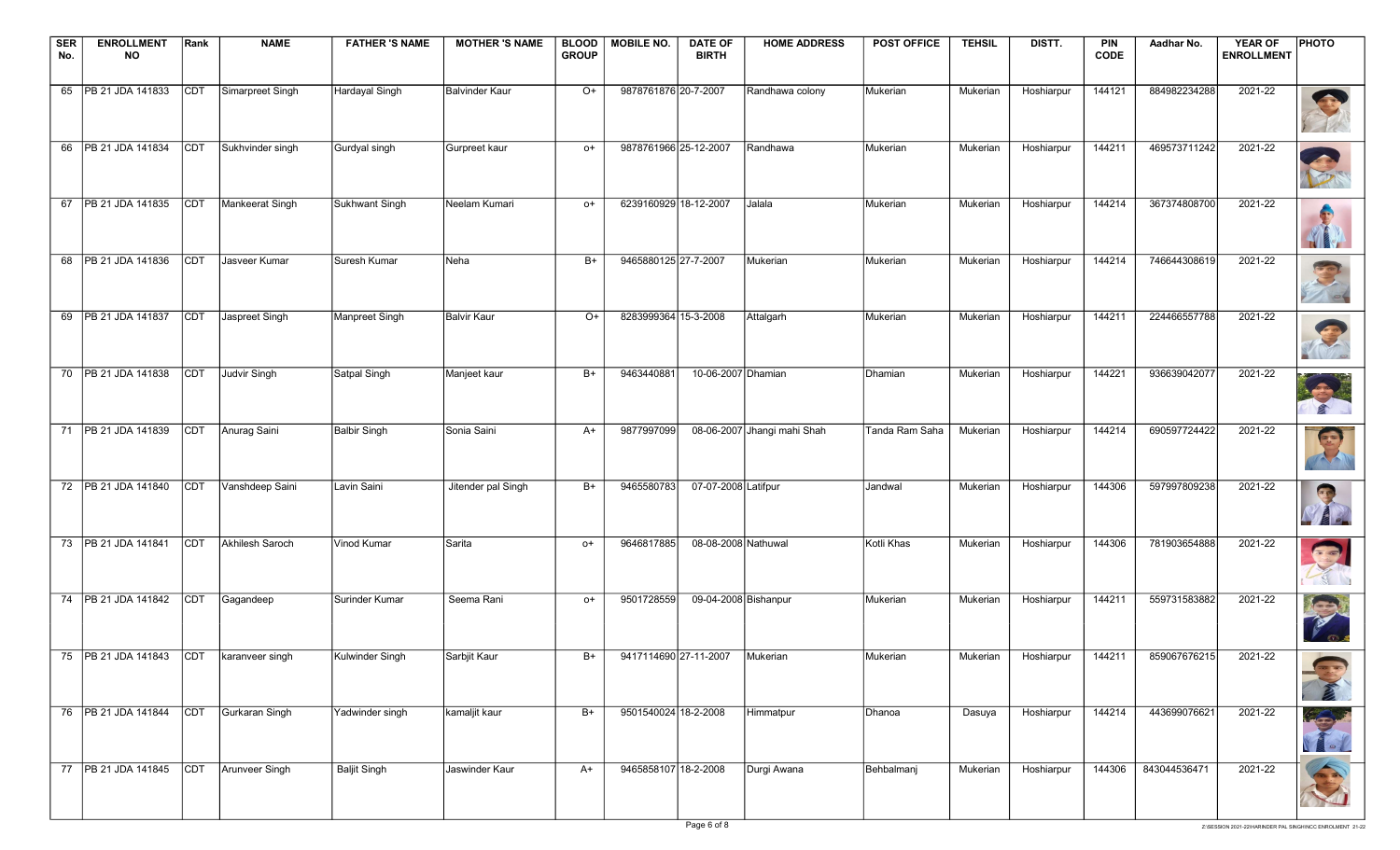| <b>SER</b><br>No. | <b>ENROLLMENT</b><br><b>NO</b>            | Rank       | <b>NAME</b>      | <b>FATHER 'S NAME</b> | <b>MOTHER 'S NAME</b> | <b>BLOOD</b><br><b>GROUP</b> | <b>MOBILE NO.</b>     | <b>DATE OF</b><br><b>BIRTH</b> | <b>HOME ADDRESS</b>         | <b>POST OFFICE</b> | <b>TEHSIL</b> | DISTT.     | <b>PIN</b><br><b>CODE</b> | Aadhar No.   | <b>YEAR OF</b><br><b>ENROLLMENT</b> | <b>PHOTO</b>   |
|-------------------|-------------------------------------------|------------|------------------|-----------------------|-----------------------|------------------------------|-----------------------|--------------------------------|-----------------------------|--------------------|---------------|------------|---------------------------|--------------|-------------------------------------|----------------|
|                   |                                           |            |                  |                       |                       |                              |                       |                                |                             |                    |               |            |                           |              |                                     |                |
|                   | 65   PB 21 JDA 141833                     | CDT        | Simarpreet Singh | Hardayal Singh        | <b>Balvinder Kaur</b> | $O+$                         | 9878761876 20-7-2007  |                                | Randhawa colony             | Mukerian           | Mukerian      | Hoshiarpur | 144121                    | 884982234288 | 2021-22                             |                |
|                   | 66   PB 21 JDA 141834                     | CDT        | Sukhvinder singh | Gurdyal singh         | Gurpreet kaur         | $O+$                         | 9878761966 25-12-2007 |                                | Randhawa                    | Mukerian           | Mukerian      | Hoshiarpur | 144211                    | 469573711242 | 2021-22                             | <b>CONTROL</b> |
|                   | 67   PB 21 JDA 141835                     | <b>CDT</b> | Mankeerat Singh  | Sukhwant Singh        | Neelam Kumari         | o+                           | 6239160929 18-12-2007 |                                | Jalala                      | Mukerian           | Mukerian      | Hoshiarpur | 144214                    | 367374808700 | 2021-22                             | WE             |
|                   | 68   PB 21 JDA 141836                     | <b>CDT</b> | Jasveer Kumar    | Suresh Kumar          | Neha                  | $B+$                         | 9465880125 27-7-2007  |                                | Mukerian                    | Mukerian           | Mukerian      | Hoshiarpur | 144214                    | 746644308619 | 2021-22                             |                |
|                   | 69   PB 21 JDA 141837                     | <b>CDT</b> | Jaspreet Singh   | Manpreet Singh        | <b>Balvir Kaur</b>    | O+                           | 8283999364 15-3-2008  |                                | Attalgarh                   | Mukerian           | Mukerian      | Hoshiarpur | 144211                    | 224466557788 | 2021-22                             |                |
|                   | 70 PB 21 JDA 141838                       | CDT        | Judvir Singh     | Satpal Singh          | Manjeet kaur          | $B+$                         | 9463440881            | 10-06-2007 Dhamian             |                             | Dhamian            | Mukerian      | Hoshiarpur | 144221                    | 936639042077 | 2021-22                             |                |
|                   | 71 PB 21 JDA 141839                       | CDT        | Anurag Saini     | <b>Balbir Singh</b>   | Sonia Saini           | $A+$                         | 9877997099            |                                | 08-06-2007 Jhangi mahi Shah | Tanda Ram Saha     | Mukerian      | Hoshiarpur | 144214                    | 690597724422 | 2021-22                             | E              |
|                   | 72   PB 21 JDA 141840                     | <b>CDT</b> | Vanshdeep Saini  | Lavin Saini           | Jitender pal Singh    | B+                           | 9465580783            | 07-07-2008 Latifpur            |                             | Jandwal            | Mukerian      | Hoshiarpur | 144306                    | 597997809238 | 2021-22                             |                |
|                   | 73   PB 21 JDA 141841                     | <b>CDT</b> | Akhilesh Saroch  | Vinod Kumar           | Sarita                | $O+$                         | 9646817885            | 08-08-2008 Nathuwal            |                             | Kotli Khas         | Mukerian      | Hoshiarpur | 144306                    | 781903654888 | 2021-22                             | $\bigodot$     |
|                   | 74 PB 21 JDA 141842                       | CDT        | Gagandeep        | Surinder Kumar        | Seema Rani            | $O+$                         | 9501728559            | 09-04-2008 Bishanpur           |                             | Mukerian           | Mukerian      | Hoshiarpur | 144211                    | 559731583882 | 2021-22                             | R              |
|                   | 75 PB 21 JDA 141843 CDT   karanveer singh |            |                  | Kulwinder Singh       | Sarbjit Kaur          | $B+$                         |                       | 9417114690 27-11-2007          | Mukerian                    | Mukerian           | Mukerian I    | Hoshiarpur | 144211                    | 859067676215 | 2021-22                             |                |
|                   | 76   PB 21 JDA 141844                     | <b>CDT</b> | Gurkaran Singh   | Yadwinder singh       | kamaljit kaur         | B+                           | 9501540024 18-2-2008  |                                | Himmatpur                   | Dhanoa             | Dasuya        | Hoshiarpur | 144214                    | 443699076621 | 2021-22                             |                |
|                   | 77 PB 21 JDA 141845                       | <b>CDT</b> | Arunveer Singh   | <b>Baljit Singh</b>   | Jaswinder Kaur        | $A+$                         | 9465858107 18-2-2008  |                                | Durgi Awana                 | Behbalmanj         | Mukerian      | Hoshiarpur | 144306                    | 843044536471 | 2021-22                             |                |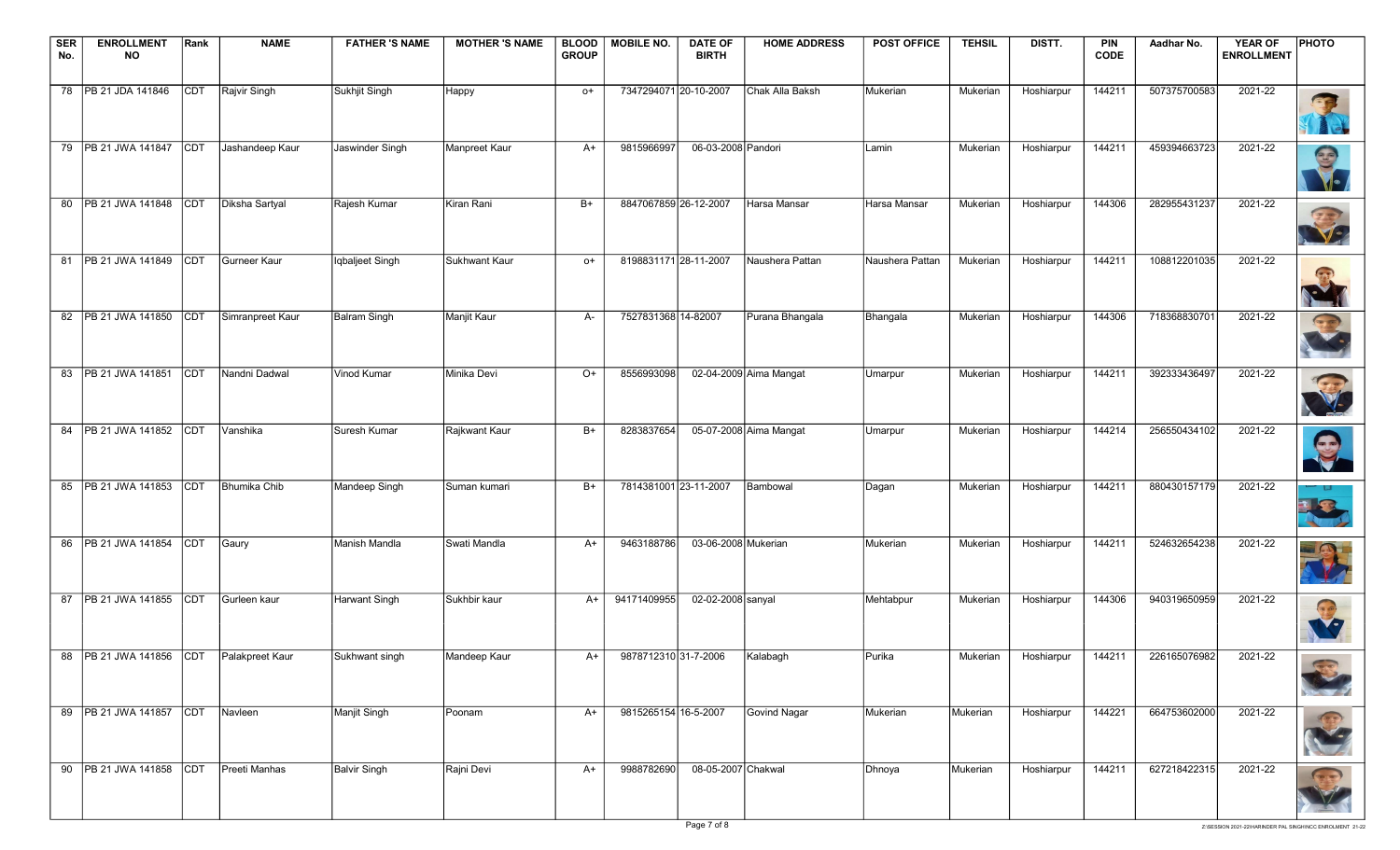| <b>SER</b> | <b>ENROLLMENT</b>                       | Rank       | <b>NAME</b>          | <b>FATHER 'S NAME</b> | <b>MOTHER 'S NAME</b> | BLOOD        | MOBILE NO.            | <b>DATE OF</b>      | <b>HOME ADDRESS</b>    | <b>POST OFFICE</b> | <b>TEHSIL</b> | DISTT.     | <b>PIN</b>  | Aadhar No.   | <b>YEAR OF</b>    | <b>PHOTO</b>                 |
|------------|-----------------------------------------|------------|----------------------|-----------------------|-----------------------|--------------|-----------------------|---------------------|------------------------|--------------------|---------------|------------|-------------|--------------|-------------------|------------------------------|
| No.        | <b>NO</b>                               |            |                      |                       |                       | <b>GROUP</b> |                       | <b>BIRTH</b>        |                        |                    |               |            | <b>CODE</b> |              | <b>ENROLLMENT</b> |                              |
|            | 78   PB 21 JDA 141846                   | CDT        | Rajvir Singh         | Sukhjit Singh         | Happy                 | $O+$         | 7347294071 20-10-2007 |                     | Chak Alla Baksh        | Mukerian           | Mukerian      | Hoshiarpur | 144211      | 507375700583 | 2021-22           |                              |
|            | 79   PB 21 JWA 141847                   | CDT        | Jashandeep Kaur      | Jaswinder Singh       | Manpreet Kaur         | A+           | 9815966997            | 06-03-2008 Pandori  |                        | Lamin              | Mukerian      | Hoshiarpur | 144211      | 459394663723 | 2021-22           | S                            |
|            | 80 PB 21 JWA 141848                     | <b>CDT</b> | Diksha Sartyal       | Rajesh Kumar          | Kiran Rani            | B+           | 8847067859 26-12-2007 |                     | Harsa Mansar           | Harsa Mansar       | Mukerian      | Hoshiarpur | 144306      | 282955431237 | 2021-22           | S                            |
|            | 81   PB 21 JWA 141849                   | <b>CDT</b> | Gurneer Kaur         | Iqbaljeet Singh       | Sukhwant Kaur         | $O+$         | 8198831171 28-11-2007 |                     | Naushera Pattan        | Naushera Pattan    | Mukerian      | Hoshiarpur | 144211      | 108812201035 | 2021-22           | $\left( \frac{1}{2} \right)$ |
|            | 82   PB 21 JWA 141850                   | <b>CDT</b> | Simranpreet Kaur     | <b>Balram Singh</b>   | Manjit Kaur           | A-           | 7527831368 14-82007   |                     | Purana Bhangala        | Bhangala           | Mukerian      | Hoshiarpur | 144306      | 718368830701 | 2021-22           |                              |
|            | 83   PB 21 JWA 141851                   | <b>CDT</b> | Nandni Dadwal        | Vinod Kumar           | Minika Devi           | $O+$         | 8556993098            |                     | 02-04-2009 Aima Mangat | Umarpur            | Mukerian      | Hoshiarpur | 144211      | 392333436497 | 2021-22           |                              |
|            | 84   PB 21 JWA 141852                   | <b>CDT</b> | Vanshika             | Suresh Kumar          | Rajkwant Kaur         | $B+$         | 8283837654            |                     | 05-07-2008 Aima Mangat | Umarpur            | Mukerian      | Hoshiarpur | 144214      | 256550434102 | 2021-22           | $\boldsymbol{\Theta}$        |
|            | 85   PB 21 JWA 141853                   | <b>CDT</b> | Bhumika Chib         | Mandeep Singh         | Suman kumari          | B+           | 7814381001 23-11-2007 |                     | Bambowal               | Dagan              | Mukerian      | Hoshiarpur | 144211      | 880430157179 | 2021-22           | 3                            |
|            | 86 PB 21 JWA 141854                     | <b>CDT</b> | Gaury                | Manish Mandla         | Swati Mandla          | A+           | 9463188786            | 03-06-2008 Mukerian |                        | Mukerian           | Mukerian      | Hoshiarpur | 144211      | 524632654238 | 2021-22           |                              |
|            | 87   PB 21 JWA 141855                   | CDT        | Gurleen kaur         | Harwant Singh         | Sukhbir kaur          | A+           | 94171409955           | 02-02-2008 sanyal   |                        | Mehtabpur          | Mukerian      | Hoshiarpur | 144306      | 940319650959 | 2021-22           | $\bigodot$<br><b>V</b> ol    |
|            | 88 PB 21 JWA 141856 CDT Palakpreet Kaur |            |                      | Sukhwant singh        | Mandeep Kaur          | $A+$         | 987871231031-7-2006   |                     | Kalabagh               | Purika             | Mukerian I    | Hoshiarpur | 144211      | 226165076982 | 2021-22           |                              |
|            | 89   PB 21 JWA 141857                   | <b>CDT</b> | Navleen              | Manjit Singh          | Poonam                | $A+$         | 9815265154 16-5-2007  |                     | Govind Nagar           | Mukerian           | Mukerian      | Hoshiarpur | 144221      | 664753602000 | 2021-22           | 43                           |
|            | 90 PB 21 JWA 141858 CDT                 |            | <b>Preeti Manhas</b> | <b>Balvir Singh</b>   | Rajni Devi            | A+           | 9988782690            | 08-05-2007 Chakwal  |                        | Dhnoya             | Mukerian      | Hoshiarpur | 144211      | 627218422315 | 2021-22           | $\bigodot$                   |